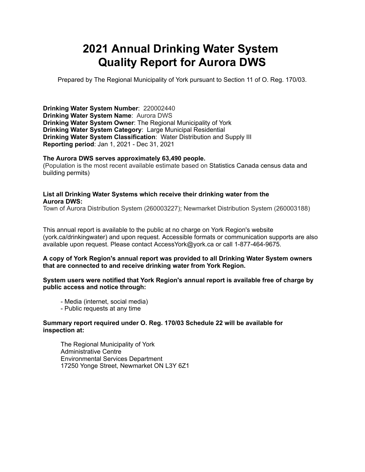# **2021 Annual Drinking Water System Quality Report for Aurora DWS**

Prepared by The Regional Municipality of York pursuant to Section 11 of O. Reg. 170/03.

**Drinking Water System Number**: 220002440 **Drinking Water System Name**: Aurora DWS **Drinking Water System Owner**: The Regional Municipality of York **Drinking Water System Category**: Large Municipal Residential **Drinking Water System Classification**: Water Distribution and Supply III **Reporting period**: Jan 1, 2021 - Dec 31, 2021

#### **The Aurora DWS serves approximately 63,490 people.**

(Population is the most recent available estimate based on Statistics Canada census data and building permits)

#### **List all Drinking Water Systems which receive their drinking water from the Aurora DWS:**

Town of Aurora Distribution System (260003227); Newmarket Distribution System (260003188)

 This annual report is available to the public at no charge on York Region's website (york.ca/drinkingwater) and upon request. Accessible formats or communication supports are also available upon request. Please contact [AccessYork@york.ca](mailto:AccessYork@york.ca) or call 1-877-464-9675.

#### **A copy of York Region's annual report was provided to all Drinking Water System owners that are connected to and receive drinking water from York Region.**

 **System users were notified that York Region's annual report is available free of charge by public access and notice through:**

- Media (internet, social media)
- Public requests at any time

#### **Summary report required under O. Reg. 170/03 Schedule 22 will be available for inspection at:**

The Regional Municipality of York Administrative Centre Environmental Services Department 17250 Yonge Street, Newmarket ON L3Y 6Z1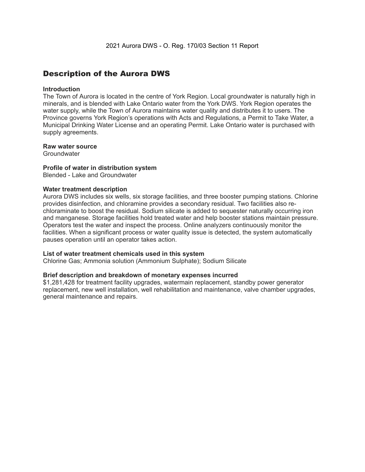### Description of the Aurora DWS

#### **Introduction**

 The Town of Aurora is located in the centre of York Region. Local groundwater is naturally high in minerals, and is blended with Lake Ontario water from the York DWS. York Region operates the water supply, while the Town of Aurora maintains water quality and distributes it to users. The Province governs York Region's operations with Acts and Regulations, a Permit to Take Water, a Municipal Drinking Water License and an operating Permit. Lake Ontario water is purchased with supply agreements.

#### **Raw water source**

**Groundwater** 

#### **Profile of water in distribution system**

Blended - Lake and Groundwater

#### **Water treatment description**

 Aurora DWS includes six wells, six storage facilities, and three booster pumping stations. Chlorine provides disinfection, and chloramine provides a secondary residual. Two facilities also re- chloraminate to boost the residual. Sodium silicate is added to sequester naturally occurring iron and manganese. Storage facilities hold treated water and help booster stations maintain pressure. Operators test the water and inspect the process. Online analyzers continuously monitor the facilities. When a significant process or water quality issue is detected, the system automatically pauses operation until an operator takes action.

#### **List of water treatment chemicals used in this system**

Chlorine Gas; Ammonia solution (Ammonium Sulphate); Sodium Silicate

#### **Brief description and breakdown of monetary expenses incurred**

 \$1,281,428 for treatment facility upgrades, watermain replacement, standby power generator replacement, new well installation, well rehabilitation and maintenance, valve chamber upgrades, general maintenance and repairs.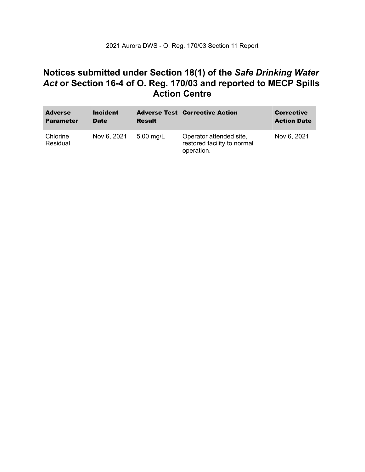### **Notices submitted under Section 18(1) of the** *Safe Drinking Water*  *Act* **or Section 16-4 of O. Reg. 170/03 and reported to MECP Spills Action Centre**

| <b>Adverse</b><br><b>Parameter</b> | <b>Incident</b><br><b>Date</b> | <b>Result</b> | <b>Adverse Test Corrective Action</b>                                | <b>Corrective</b><br><b>Action Date</b> |
|------------------------------------|--------------------------------|---------------|----------------------------------------------------------------------|-----------------------------------------|
| Chlorine<br>Residual               | Nov 6, 2021                    | $5.00$ mg/L   | Operator attended site,<br>restored facility to normal<br>operation. | Nov 6, 2021                             |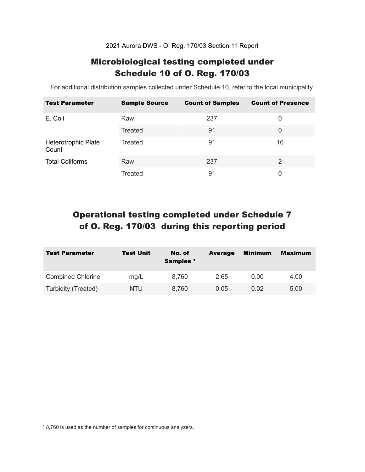2021 Aurora DWS - O. Reg. 170/03 Section 11 Report

### Microbiological testing completed under Schedule 10 of O. Reg. 170/03

For additional distribution samples collected under Schedule 10, refer to the local municipality.

| <b>Test Parameter</b>        | <b>Sample Source</b> | <b>Count of Samples</b> | <b>Count of Presence</b> |
|------------------------------|----------------------|-------------------------|--------------------------|
| E. Coli                      | Raw                  | 237                     | 0                        |
|                              | <b>Treated</b>       | 91                      | 0                        |
| Heterotrophic Plate<br>Count | Treated              | 91                      | 16                       |
| <b>Total Coliforms</b>       | Raw                  | 237                     | 2                        |
|                              | Treated              | 91                      | 0                        |

## Operational testing completed under Schedule 7 of O. Reg. 170/03 during this reporting period

| <b>Test Parameter</b>    | <b>Test Unit</b> | No. of<br>Samples <sup>1</sup> | <b>Average</b> | <b>Minimum</b> | <b>Maximum</b> |
|--------------------------|------------------|--------------------------------|----------------|----------------|----------------|
| <b>Combined Chlorine</b> | mg/L             | 8,760                          | 2.65           | 0.00           | 4.00           |
| Turbidity (Treated)      | NTU              | 8,760                          | 0.05           | 0.02           | 5.00           |

<sup>1</sup> 8,760 is used as the number of samples for continuous analyzers.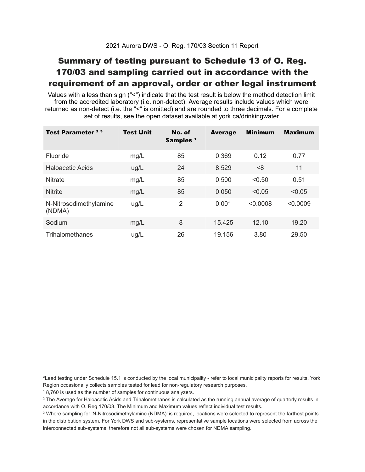### Summary of testing pursuant to Schedule 13 of O. Reg. 170/03 and sampling carried out in accordance with the requirement of an approval, order or other legal instrument

 Values with a less than sign ("<") indicate that the test result is below the method detection limit from the accredited laboratory (i.e. non-detect). Average results include values which were returned as non-detect (i.e. the "<" is omitted) and are rounded to three decimals. For a complete set of results, see the open dataset available at york.ca/drinkingwater.

| Test Parameter <sup>23</sup>     | <b>Test Unit</b> | No. of<br>Samples <sup>1</sup> | <b>Average</b> | <b>Minimum</b> | <b>Maximum</b> |
|----------------------------------|------------------|--------------------------------|----------------|----------------|----------------|
| Fluoride                         | mg/L             | 85                             | 0.369          | 0.12           | 0.77           |
| Haloacetic Acids                 | ug/L             | 24                             | 8.529          | < 8            | 11             |
| <b>Nitrate</b>                   | mg/L             | 85                             | 0.500          | < 0.50         | 0.51           |
| <b>Nitrite</b>                   | mg/L             | 85                             | 0.050          | < 0.05         | < 0.05         |
| N-Nitrosodimethylamine<br>(NDMA) | ug/L             | $\overline{2}$                 | 0.001          | < 0.0008       | < 0.0009       |
| Sodium                           | mg/L             | 8                              | 15.425         | 12.10          | 19.20          |
| Trihalomethanes                  | ug/L             | 26                             | 19.156         | 3.80           | 29.50          |

 \*Lead testing under Schedule 15.1 is conducted by the local municipality - refer to local municipality reports for results. York Region occasionally collects samples tested for lead for non-regulatory research purposes.

<sup>1</sup>8,760 is used as the number of samples for continuous analyzers.

 $\mathrm{^2}$  The Average for Haloacetic Acids and Trihalomethanes is calculated as the running annual average of quarterly results in accordance with O. Reg 170/03. The Minimum and Maximum values reflect individual test results.

<sup>3</sup> Where sampling for 'N-Nitrosodimethylamine (NDMA)' is required, locations were selected to represent the farthest points in the distribution system. For York DWS and sub-systems, representative sample locations were selected from across the interconnected sub-systems, therefore not all sub-systems were chosen for NDMA sampling.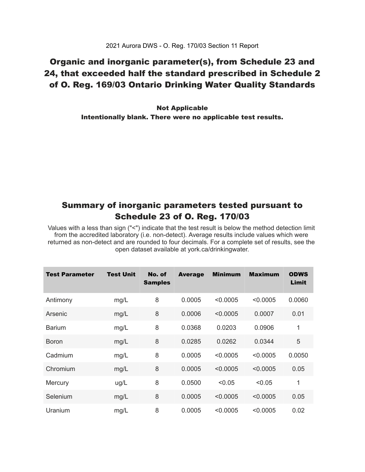### Organic and inorganic parameter(s), from Schedule 23 and 24, that exceeded half the standard prescribed in Schedule 2 of O. Reg. 169/03 Ontario Drinking Water Quality Standards

 Intentionally blank. There were no applicable test results. Not Applicable

### Summary of inorganic parameters tested pursuant to Schedule 23 of O. Reg. 170/03

 Values with a less than sign ("<") indicate that the test result is below the method detection limit from the accredited laboratory (i.e. non-detect). Average results include values which were returned as non-detect and are rounded to four decimals. For a complete set of results, see the open dataset available at york.ca/drinkingwater.

| <b>Test Parameter</b> | <b>Test Unit</b> | No. of<br><b>Samples</b> | <b>Average</b> | <b>Minimum</b> | <b>Maximum</b> | <b>ODWS</b><br>Limit |
|-----------------------|------------------|--------------------------|----------------|----------------|----------------|----------------------|
| Antimony              | mg/L             | 8                        | 0.0005         | < 0.0005       | < 0.0005       | 0.0060               |
| Arsenic               | mg/L             | 8                        | 0.0006         | < 0.0005       | 0.0007         | 0.01                 |
| <b>Barium</b>         | mg/L             | 8                        | 0.0368         | 0.0203         | 0.0906         | 1                    |
| <b>Boron</b>          | mg/L             | 8                        | 0.0285         | 0.0262         | 0.0344         | 5                    |
| Cadmium               | mg/L             | 8                        | 0.0005         | < 0.0005       | < 0.0005       | 0.0050               |
| Chromium              | mg/L             | 8                        | 0.0005         | < 0.0005       | < 0.0005       | 0.05                 |
| Mercury               | ug/L             | 8                        | 0.0500         | < 0.05         | < 0.05         | 1                    |
| Selenium              | mg/L             | 8                        | 0.0005         | < 0.0005       | < 0.0005       | 0.05                 |
| Uranium               | mg/L             | 8                        | 0.0005         | < 0.0005       | < 0.0005       | 0.02                 |